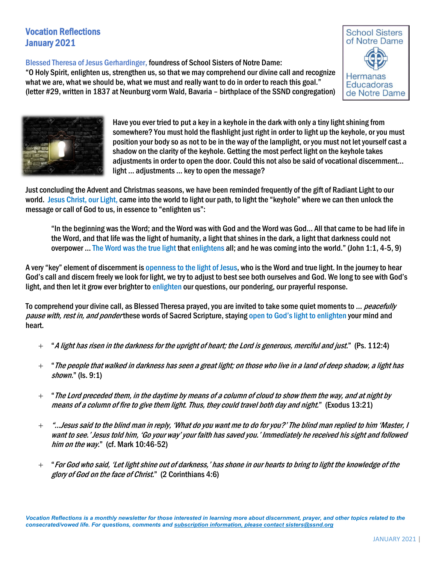# Vocation Reflections January 2021

Blessed Theresa of Jesus Gerhardinger, foundress of School Sisters of Notre Dame:

"O Holy Spirit, enlighten us, strengthen us, so that we may comprehend our divine call and recognize what we are, what we should be, what we must and really want to do in order to reach this goal." (letter #29, written in 1837 at Neunburg vorm Wald, Bavaria – birthplace of the SSND congregation)





Have you ever tried to put a key in a keyhole in the dark with only a tiny light shining from somewhere? You must hold the flashlight just right in order to light up the keyhole, or you must position your body so as not to be in the way of the lamplight, or you must not let yourself cast a shadow on the clarity of the keyhole. Getting the most perfect light on the keyhole takes adjustments in order to open the door. Could this not also be said of vocational discernment… light … adjustments … key to open the message?

Just concluding the Advent and Christmas seasons, we have been reminded frequently of the gift of Radiant Light to our world. Jesus Christ, our Light, came into the world to light our path, to light the "keyhole" where we can then unlock the message or call of God to us, in essence to "enlighten us":

"In the beginning was the Word; and the Word was with God and the Word was God… All that came to be had life in the Word, and that life was the light of humanity, a light that shines in the dark, a light that darkness could not overpower … The Word was the true light that enlightens all; and he was coming into the world." (John 1:1, 4-5, 9)

A very "key" element of discernment is openness to the light of Jesus, who is the Word and true light. In the journey to hear God's call and discern freely we look for light, we try to adjust to best see both ourselves and God. We long to see with God's light, and then let it grow ever brighter to enlighten our questions, our pondering, our prayerful response.

To comprehend your divine call, as Blessed Theresa prayed, you are invited to take some quiet moments to ... *peacefully* pause with, rest in, and ponder these words of Sacred Scripture, staying open to God's light to enlighten your mind and heart.

- $+$  "A light has risen in the darkness for the upright of heart; the Lord is generous, merciful and just." (Ps. 112:4)
- $+$  " The people that walked in darkness has seen a great light; on those who live in a land of deep shadow, a light has shown." (Is. 9:1)
- "The Lord preceded them, in the daytime by means of a column of cloud to show them the way, and at night by means of a column of fire to give them light. Thus, they could travel both day and night." (Exodus 13:21)
- "…Jesus said to the blind man in reply, 'What do you want me to do for you?' The blind man replied to him 'Master, I want to see.' Jesus told him, 'Go your way' your faith has saved you.' Immediately he received his sight and followed him on the way." (cf. Mark 10:46-52)
- "For God who said, 'Let light shine out of darkness,' has shone in our hearts to bring to light the knowledge of the glory of God on the face of Christ." (2 Corinthians 4:6)